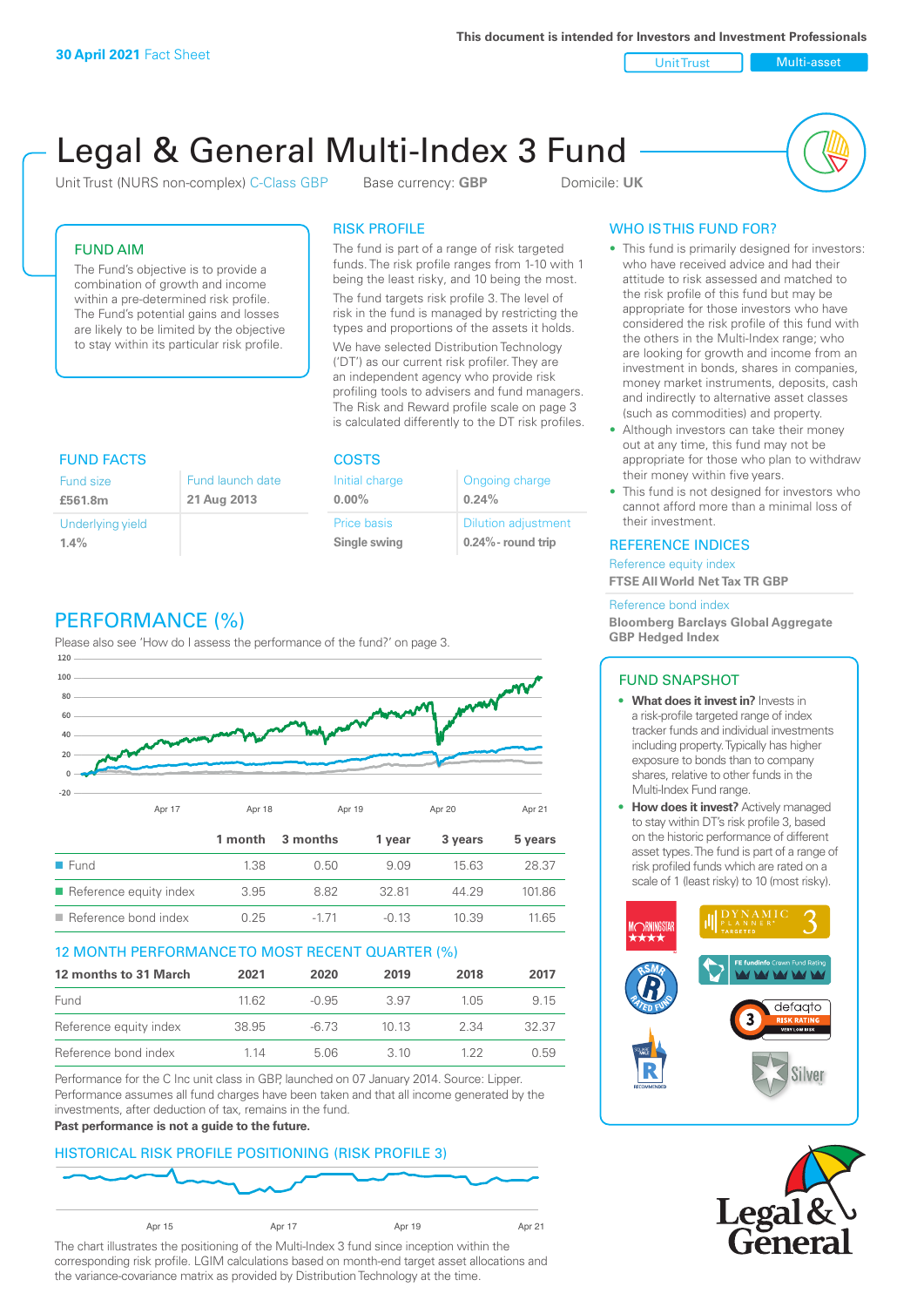**This document is intended for Investors and Investment Professionals**

Unit Trust Nulti-asset

# Legal & General Multi-Index 3 Fund

Unit Trust (NURS non-complex) C-Class GBP Base currency: **GBP** Domicile: UK



# FUND AIM

The Fund's objective is to provide a combination of growth and income within a pre-determined risk profile. The Fund's potential gains and losses are likely to be limited by the objective to stay within its particular risk profile.

## RISK PROFILE

The fund is part of a range of risk targeted funds. The risk profile ranges from 1-10 with 1 being the least risky, and 10 being the most.

The fund targets risk profile 3. The level of risk in the fund is managed by restricting the types and proportions of the assets it holds. We have selected Distribution Technology ('DT') as our current risk profiler. They are an independent agency who provide risk profiling tools to advisers and fund managers. The Risk and Reward profile scale on page 3 is calculated differently to the DT risk profiles.

| <b>FUND FACTS</b> |                  | <b>COSTS</b>   |                            |  |
|-------------------|------------------|----------------|----------------------------|--|
| Fund size         | Fund launch date | Initial charge | Ongoing charge             |  |
| £561.8m           | 21 Aug 2013      | $0.00\%$       | 0.24%                      |  |
| Underlying yield  |                  | Price basis    | <b>Dilution adjustment</b> |  |
| 1.4%              |                  | Single swing   | $0.24\%$ - round trip      |  |

# PERFORMANCE (%)

Please also see 'How do I assess the performance of the fund?' on page 3.



## 12 MONTH PERFORMANCE TO MOST RECENT QUARTER (%)

| 12 months to 31 March  | 2021  | 2020    | 2019 | 2018 | 2017  |
|------------------------|-------|---------|------|------|-------|
| Fund                   | 11.62 | $-0.95$ | 3.97 | 105  | 9.15  |
| Reference equity index | 38.95 | -6.73   | 1013 | 2.34 | 32.37 |
| Reference bond index   | 1 14  | 5.06    | 3 10 | 1 22 | O 59  |

Performance for the C Inc unit class in GBP, launched on 07 January 2014. Source: Lipper. Performance assumes all fund charges have been taken and that all income generated by the investments, after deduction of tax, remains in the fund.

#### **Past performance is not a guide to the future.**

## HISTORICAL RISK PROFILE POSITIONING (RISK PROFILE 3)



The chart illustrates the positioning of the Multi-Index 3 fund since inception within the corresponding risk profile. LGIM calculations based on month-end target asset allocations and the variance-covariance matrix as provided by Distribution Technology at the time.

# WHO IS THIS FUND FOR?

- This fund is primarily designed for investors: who have received advice and had their attitude to risk assessed and matched to the risk profile of this fund but may be appropriate for those investors who have considered the risk profile of this fund with the others in the Multi-Index range; who are looking for growth and income from an investment in bonds, shares in companies, money market instruments, deposits, cash and indirectly to alternative asset classes (such as commodities) and property.
- Although investors can take their money out at any time, this fund may not be appropriate for those who plan to withdraw their money within five years.
- This fund is not designed for investors who cannot afford more than a minimal loss of their investment.

## REFERENCE INDICES

Reference equity index **FTSE All World Net Tax TR GBP**

#### Reference bond index

**Bloomberg Barclays Global Aggregate GBP Hedged Index**

## FUND SNAPSHOT

- **• What does it invest in?** Invests in a risk-profile targeted range of index tracker funds and individual investments including property. Typically has higher exposure to bonds than to company shares, relative to other funds in the Multi-Index Fund range.
- **• How does it invest?** Actively managed to stay within DT's risk profile 3, based on the historic performance of different asset types. The fund is part of a range of risk profiled funds which are rated on a scale of 1 (least risky) to 10 (most risky).



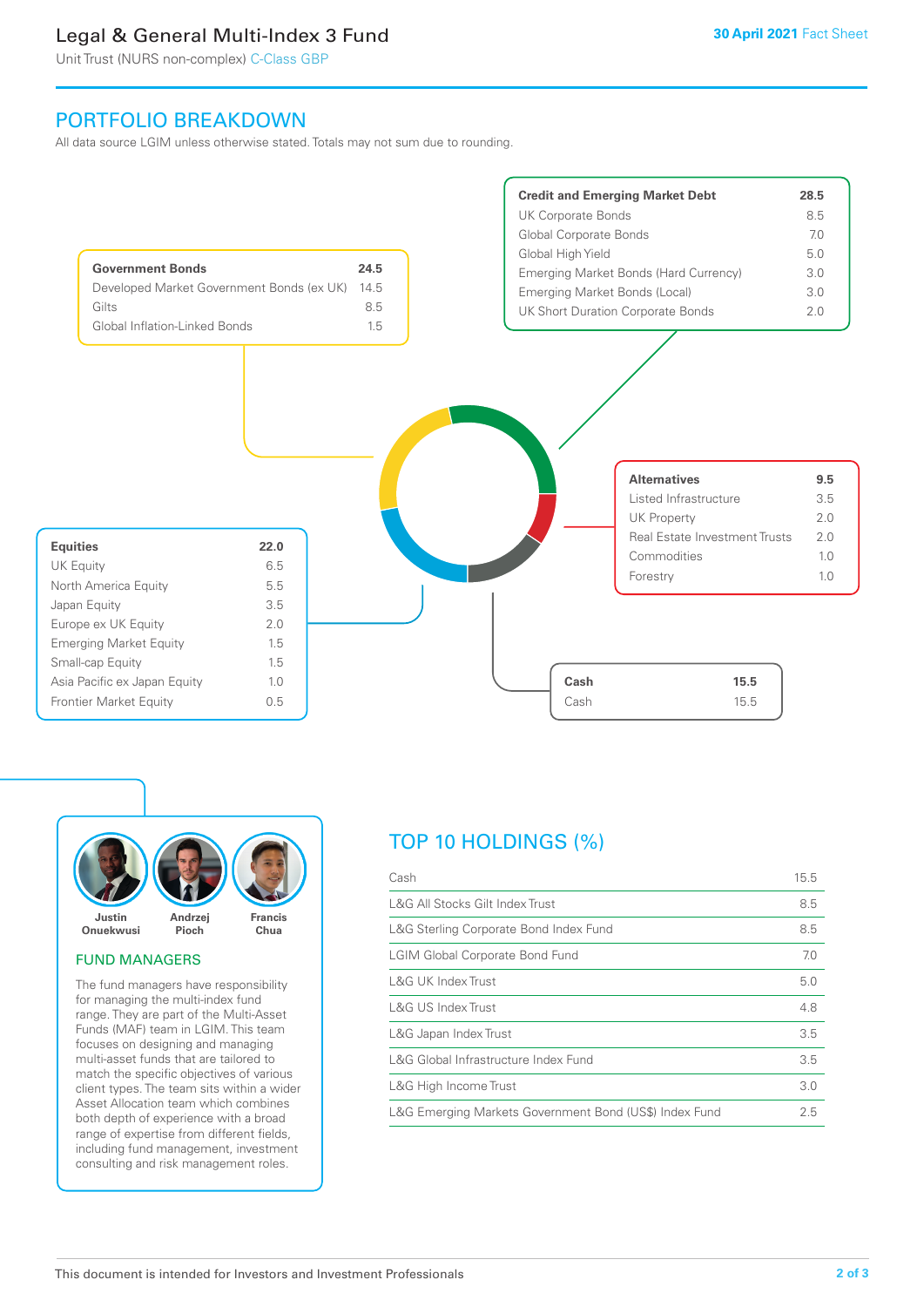# Legal & General Multi-Index 3 Fund

Unit Trust (NURS non-complex) C-Class GBP

# PORTFOLIO BREAKDOWN

All data source LGIM unless otherwise stated. Totals may not sum due to rounding.





#### FUND MANAGERS

The fund managers have responsibility for managing the multi-index fund range. They are part of the Multi-Asset Funds (MAF) team in LGIM. This team focuses on designing and managing multi-asset funds that are tailored to match the specific objectives of various client types. The team sits within a wider Asset Allocation team which combines both depth of experience with a broad range of expertise from different fields, including fund management, investment consulting and risk management roles.

# TOP 10 HOLDINGS (%)

| Cash                                                   | 15.5 |
|--------------------------------------------------------|------|
| L&G All Stocks Gilt Index Trust                        | 8.5  |
| L&G Sterling Corporate Bond Index Fund                 | 8.5  |
| <b>LGIM Global Corporate Bond Fund</b>                 | 7.0  |
| <b>L&amp;G UK Index Trust</b>                          | 5.0  |
| L&G US Index Trust                                     | 4.8  |
| L&G Japan Index Trust                                  | 3.5  |
| L&G Global Infrastructure Index Fund                   | 3.5  |
| L&G High Income Trust                                  | 3.0  |
| L&G Emerging Markets Government Bond (US\$) Index Fund | 2.5  |